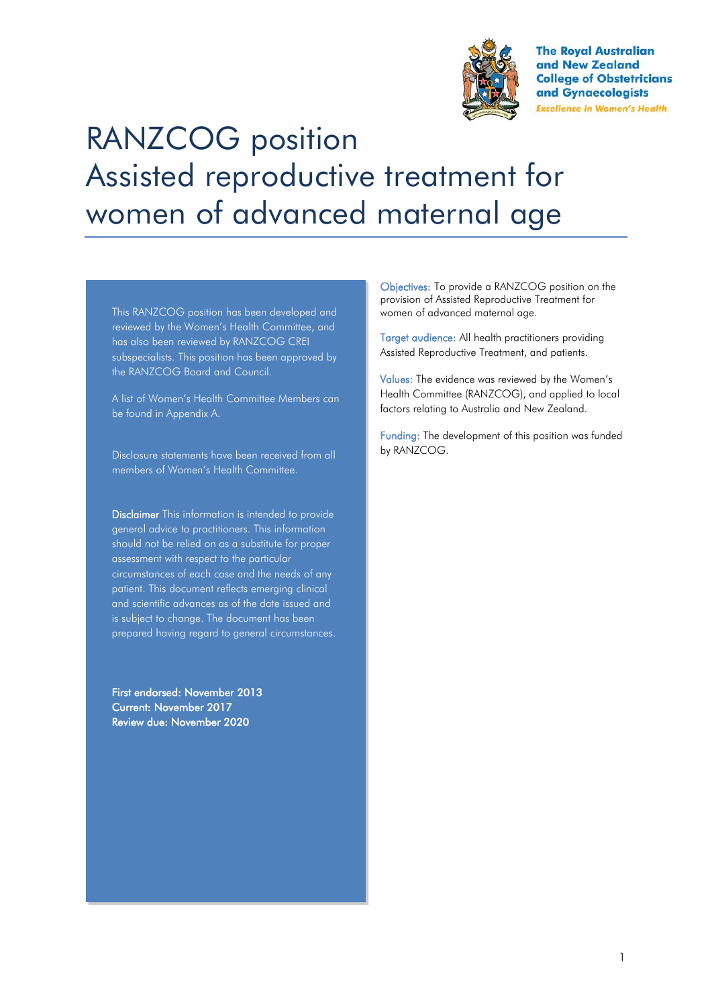

**The Royal Australian** and New Zealand **College of Obstetricians** and Gynaecologists **Excellence in Women's Health** 

# RANZCOG position Assisted reproductive treatment for women of advanced maternal age

This RANZCOG position has been developed and reviewed by the Women's Health Committee, and has also been reviewed by RANZCOG CREI subspecialists. This position has been approved by the RANZCOG Board and Council.

A list of Women's Health Committee Members can be found in Appendix A.

Disclosure statements have been received from all members of Women's Health Committee.

Disclaimer This information is intended to provide general advice to practitioners. This information should not be relied on as a substitute for proper assessment with respect to the particular circumstances of each case and the needs of any patient. This document reflects emerging clinical and scientific advances as of the date issued and is subject to change. The document has been prepared having regard to general circumstances.

First endorsed: November 2013 Current: November 2017 Review due: November 2020

Objectives: To provide a RANZCOG position on the provision of Assisted Reproductive Treatment for women of advanced maternal age.

Target audience: All health practitioners providing Assisted Reproductive Treatment, and patients.

Values: The evidence was reviewed by the Women's Health Committee (RANZCOG), and applied to local factors relating to Australia and New Zealand.

Funding: The development of this position was funded by RANZCOG.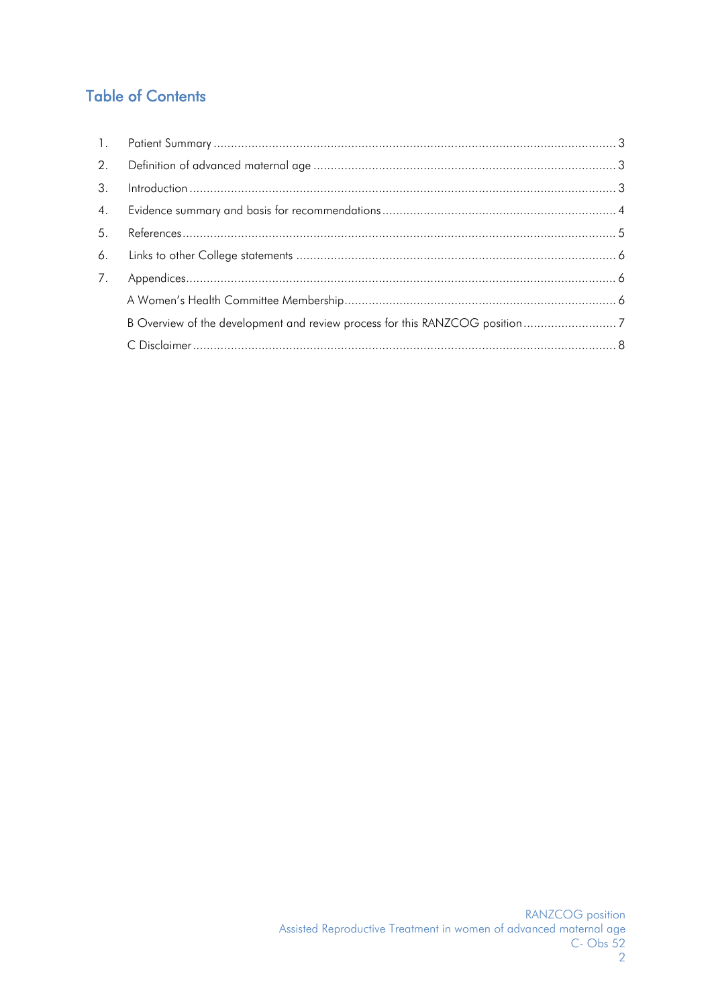# **Table of Contents**

| $\mathbb{1}$ . |                |  |
|----------------|----------------|--|
| 2.             |                |  |
| $\mathcal{S}$  | Introduction 3 |  |
| 4.             |                |  |
| 5.             |                |  |
| 6.             |                |  |
| 7.             |                |  |
|                |                |  |
|                |                |  |
|                |                |  |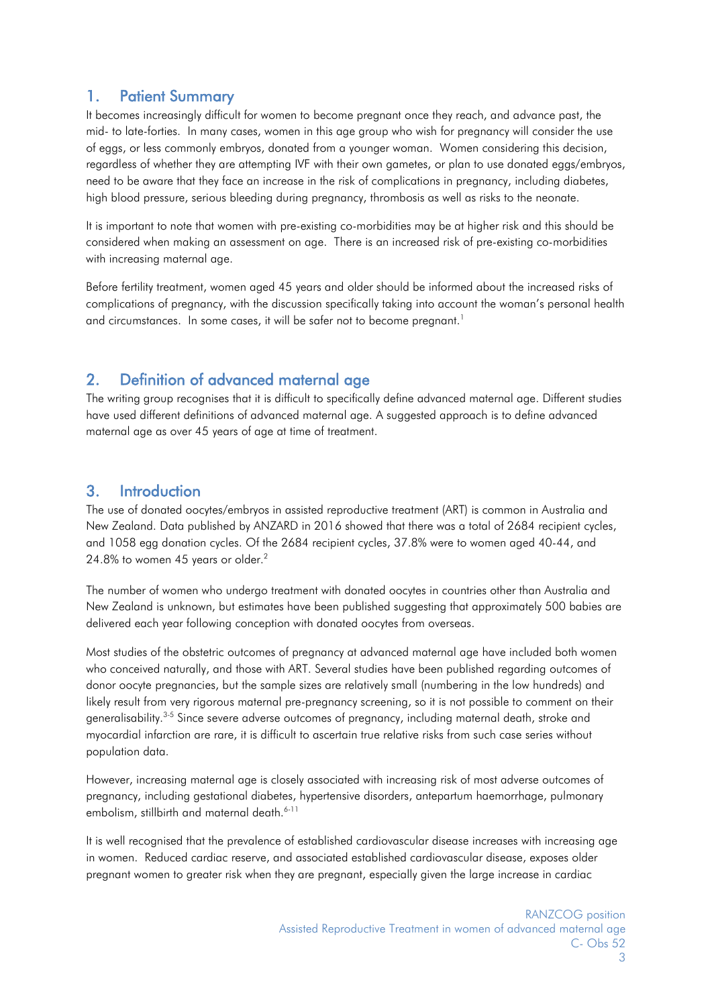# <span id="page-2-0"></span>1. Patient Summary

It becomes increasingly difficult for women to become pregnant once they reach, and advance past, the mid- to late-forties. In many cases, women in this age group who wish for pregnancy will consider the use of eggs, or less commonly embryos, donated from a younger woman. Women considering this decision, regardless of whether they are attempting IVF with their own gametes, or plan to use donated eggs/embryos, need to be aware that they face an increase in the risk of complications in pregnancy, including diabetes, high blood pressure, serious bleeding during pregnancy, thrombosis as well as risks to the neonate.

It is important to note that women with pre-existing co-morbidities may be at higher risk and this should be considered when making an assessment on age. There is an increased risk of pre-existing co-morbidities with increasing maternal age.

Before fertility treatment, women aged 45 years and older should be informed about the increased risks of complications of pregnancy, with the discussion specifically taking into account the woman's personal health and circumstances. In some cases, it will be safer not to become pregnant.<sup>1</sup>

# <span id="page-2-1"></span>2. Definition of advanced maternal age

The writing group recognises that it is difficult to specifically define advanced maternal age. Different studies have used different definitions of advanced maternal age. A suggested approach is to define advanced maternal age as over 45 years of age at time of treatment.

# <span id="page-2-2"></span>3. Introduction

The use of donated oocytes/embryos in assisted reproductive treatment (ART) is common in Australia and New Zealand. Data published by ANZARD in 2016 showed that there was a total of 2684 recipient cycles, and 1058 egg donation cycles. Of the 2684 recipient cycles, 37.8% were to women aged 40-44, and 24.8% to women 45 years or older.<sup>2</sup>

The number of women who undergo treatment with donated oocytes in countries other than Australia and New Zealand is unknown, but estimates have been published suggesting that approximately 500 babies are delivered each year following conception with donated oocytes from overseas.

Most studies of the obstetric outcomes of pregnancy at advanced maternal age have included both women who conceived naturally, and those with ART. Several studies have been published regarding outcomes of donor oocyte pregnancies, but the sample sizes are relatively small (numbering in the low hundreds) and likely result from very rigorous maternal pre-pregnancy screening, so it is not possible to comment on their generalisability.3-5 Since severe adverse outcomes of pregnancy, including maternal death, stroke and myocardial infarction are rare, it is difficult to ascertain true relative risks from such case series without population data.

However, increasing maternal age is closely associated with increasing risk of most adverse outcomes of pregnancy, including gestational diabetes, hypertensive disorders, antepartum haemorrhage, pulmonary embolism, stillbirth and maternal death.<sup>6-11</sup>

It is well recognised that the prevalence of established cardiovascular disease increases with increasing age in women. Reduced cardiac reserve, and associated established cardiovascular disease, exposes older pregnant women to greater risk when they are pregnant, especially given the large increase in cardiac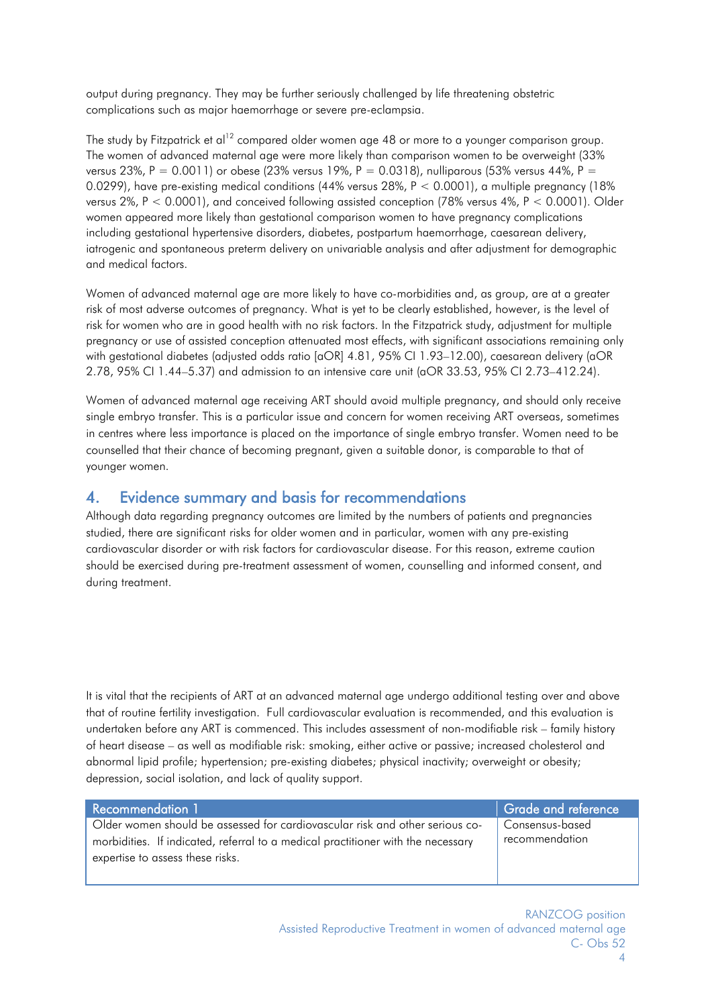output during pregnancy. They may be further seriously challenged by life threatening obstetric complications such as major haemorrhage or severe pre-eclampsia.

The study by Fitzpatrick et al<sup>12</sup> compared older women age 48 or more to a younger comparison group. The women of advanced maternal age were more likely than comparison women to be overweight (33% versus 23%, P = 0.0011) or obese (23% versus 19%, P = 0.0318), nulliparous (53% versus 44%, P = 0.0299), have pre-existing medical conditions (44% versus 28%, P < 0.0001), a multiple pregnancy (18% versus 2%, P < 0.0001), and conceived following assisted conception (78% versus 4%, P < 0.0001). Older women appeared more likely than gestational comparison women to have pregnancy complications including gestational hypertensive disorders, diabetes, postpartum haemorrhage, caesarean delivery, iatrogenic and spontaneous preterm delivery on univariable analysis and after adjustment for demographic and medical factors.

Women of advanced maternal age are more likely to have co-morbidities and, as group, are at a greater risk of most adverse outcomes of pregnancy. What is yet to be clearly established, however, is the level of risk for women who are in good health with no risk factors. In the Fitzpatrick study, adjustment for multiple pregnancy or use of assisted conception attenuated most effects, with significant associations remaining only with gestational diabetes (adjusted odds ratio [aOR] 4.81, 95% CI 1.93–12.00), caesarean delivery (aOR 2.78, 95% CI 1.44–5.37) and admission to an intensive care unit (aOR 33.53, 95% CI 2.73–412.24).

Women of advanced maternal age receiving ART should avoid multiple pregnancy, and should only receive single embryo transfer. This is a particular issue and concern for women receiving ART overseas, sometimes in centres where less importance is placed on the importance of single embryo transfer. Women need to be counselled that their chance of becoming pregnant, given a suitable donor, is comparable to that of younger women.

#### <span id="page-3-0"></span>4. Evidence summary and basis for recommendations

Although data regarding pregnancy outcomes are limited by the numbers of patients and pregnancies studied, there are significant risks for older women and in particular, women with any pre-existing cardiovascular disorder or with risk factors for cardiovascular disease. For this reason, extreme caution should be exercised during pre-treatment assessment of women, counselling and informed consent, and during treatment.

It is vital that the recipients of ART at an advanced maternal age undergo additional testing over and above that of routine fertility investigation. Full cardiovascular evaluation is recommended, and this evaluation is undertaken before any ART is commenced. This includes assessment of non-modifiable risk – family history of heart disease – as well as modifiable risk: smoking, either active or passive; increased cholesterol and abnormal lipid profile; hypertension; pre-existing diabetes; physical inactivity; overweight or obesity; depression, social isolation, and lack of quality support.

Older women should be assessed for cardiovascular risk and other serious comorbidities. If indicated, referral to a medical practitioner with the necessary expertise to assess these risks.

Recommendation 1 Grade and reference Consensus-based recommendation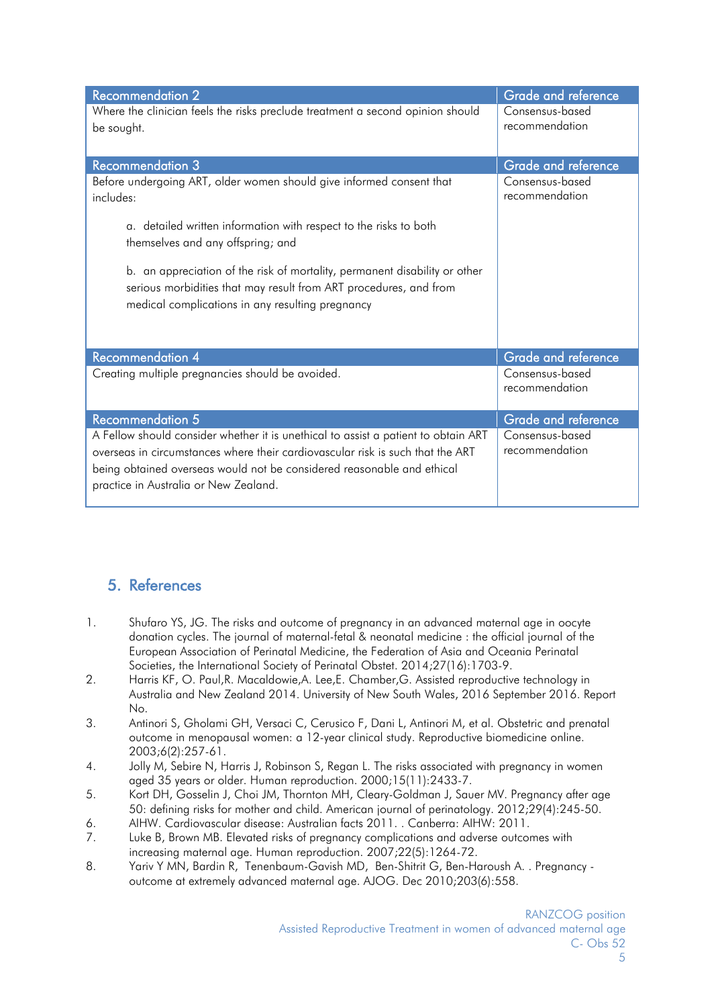| <b>Recommendation 2</b>                                                                                                                                                                                                                                                                 | Grade and reference               |
|-----------------------------------------------------------------------------------------------------------------------------------------------------------------------------------------------------------------------------------------------------------------------------------------|-----------------------------------|
| Where the clinician feels the risks preclude treatment a second opinion should<br>be sought.                                                                                                                                                                                            | Consensus-based<br>recommendation |
| <b>Recommendation 3</b>                                                                                                                                                                                                                                                                 | Grade and reference               |
| Before undergoing ART, older women should give informed consent that<br>includes:<br>a. detailed written information with respect to the risks to both<br>themselves and any offspring; and<br>b. an appreciation of the risk of mortality, permanent disability or other               | Consensus-based<br>recommendation |
| serious morbidities that may result from ART procedures, and from<br>medical complications in any resulting pregnancy                                                                                                                                                                   |                                   |
| Recommendation 4                                                                                                                                                                                                                                                                        | Grade and reference               |
| Creating multiple pregnancies should be avoided.                                                                                                                                                                                                                                        | Consensus-based<br>recommendation |
| Recommendation 5                                                                                                                                                                                                                                                                        | Grade and reference               |
| A Fellow should consider whether it is unethical to assist a patient to obtain ART<br>overseas in circumstances where their cardiovascular risk is such that the ART<br>being obtained overseas would not be considered reasonable and ethical<br>practice in Australia or New Zealand. | Consensus-based<br>recommendation |

# <span id="page-4-0"></span>5. References

- 1. Shufaro YS, JG. The risks and outcome of pregnancy in an advanced maternal age in oocyte donation cycles. The journal of maternal-fetal & neonatal medicine : the official journal of the European Association of Perinatal Medicine, the Federation of Asia and Oceania Perinatal Societies, the International Society of Perinatal Obstet. 2014;27(16):1703-9.
- 2. Harris KF, O. Paul,R. Macaldowie,A. Lee,E. Chamber,G. Assisted reproductive technology in Australia and New Zealand 2014. University of New South Wales, 2016 September 2016. Report No.
- 3. Antinori S, Gholami GH, Versaci C, Cerusico F, Dani L, Antinori M, et al. Obstetric and prenatal outcome in menopausal women: a 12-year clinical study. Reproductive biomedicine online. 2003;6(2):257-61.
- 4. Jolly M, Sebire N, Harris J, Robinson S, Regan L. The risks associated with pregnancy in women aged 35 years or older. Human reproduction. 2000;15(11):2433-7.
- 5. Kort DH, Gosselin J, Choi JM, Thornton MH, Cleary-Goldman J, Sauer MV. Pregnancy after age 50: defining risks for mother and child. American journal of perinatology. 2012;29(4):245-50.
- 6. AIHW. Cardiovascular disease: Australian facts 2011. . Canberra: AIHW: 2011.
- 7. Luke B, Brown MB. Elevated risks of pregnancy complications and adverse outcomes with increasing maternal age. Human reproduction. 2007;22(5):1264-72.
- 8. Yariv Y MN, Bardin R, Tenenbaum-Gavish MD, Ben-Shitrit G, Ben-Haroush A. . Pregnancy outcome at extremely advanced maternal age. AJOG. Dec 2010;203(6):558.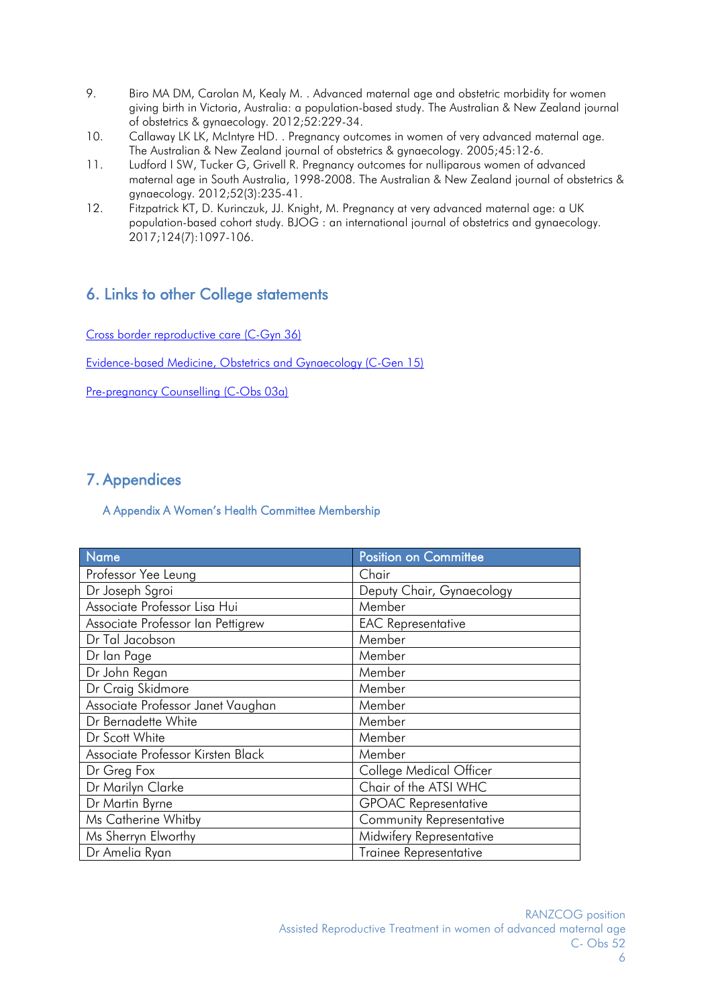- 9. Biro MA DM, Carolan M, Kealy M. . Advanced maternal age and obstetric morbidity for women giving birth in Victoria, Australia: a population-based study. The Australian & New Zealand journal of obstetrics & gynaecology. 2012;52:229-34.
- 10. Callaway LK LK, McIntyre HD. . Pregnancy outcomes in women of very advanced maternal age. The Australian & New Zealand journal of obstetrics & gynaecology. 2005;45:12-6.
- 11. Ludford I SW, Tucker G, Grivell R. Pregnancy outcomes for nulliparous women of advanced maternal age in South Australia, 1998-2008. The Australian & New Zealand journal of obstetrics & gynaecology. 2012;52(3):235-41.
- 12. Fitzpatrick KT, D. Kurinczuk, JJ. Knight, M. Pregnancy at very advanced maternal age: a UK population-based cohort study. BJOG : an international journal of obstetrics and gynaecology. 2017;124(7):1097-106.

# <span id="page-5-0"></span>6. Links to other College statements

[Cross border reproductive care \(C-Gyn](https://www.ranzcog.edu.au/RANZCOG_SITE/media/RANZCOG-MEDIA/Women%27s%20Health/Statement%20and%20guidelines/Clinical%20-%20Gynaecology/Cross-Border-Reproductive-Care-(C-Gyn-36)-New-March-2016.pdf?ext=.pdf) 36)

[Evidence-based Medicine, Obstetrics and Gynaecology \(C-Gen 15\)](https://www.ranzcog.edu.au/RANZCOG_SITE/media/RANZCOG-MEDIA/Women%27s%20Health/Statement%20and%20guidelines/Clinical%20-%20General/Evidence-based-medicine,-Obstetrics-and-Gynaecology-(C-Gen-15)-Review-March-2016.pdf?ext=.pdf)

[Pre-pregnancy Counselling \(C-Obs 03a\)](https://www.ranzcog.edu.au/RANZCOG_SITE/media/RANZCOG-MEDIA/Women%27s%20Health/Statement%20and%20guidelines/Clinical-Obstetrics/Pre-pregnancy-Counselling-(C-Obs-3a)-Amended-April-2015.pdf?ext=.pdf)

# <span id="page-5-2"></span><span id="page-5-1"></span>7. Appendices

#### A Appendix A Women's Health Committee Membership

| Name                              | <b>Position on Committee</b>    |  |
|-----------------------------------|---------------------------------|--|
| Professor Yee Leung               | Chair                           |  |
| Dr Joseph Sgroi                   | Deputy Chair, Gynaecology       |  |
| Associate Professor Lisa Hui      | Member                          |  |
| Associate Professor Ian Pettigrew | <b>EAC Representative</b>       |  |
| Dr Tal Jacobson                   | Member                          |  |
| Dr lan Page                       | Member                          |  |
| Dr John Regan                     | Member                          |  |
| Dr Craig Skidmore                 | Member                          |  |
| Associate Professor Janet Vaughan | Member                          |  |
| Dr Bernadette White               | Member                          |  |
| Dr Scott White                    | Member                          |  |
| Associate Professor Kirsten Black | Member                          |  |
| Dr Greg Fox                       | College Medical Officer         |  |
| Dr Marilyn Clarke                 | Chair of the ATSI WHC           |  |
| Dr Martin Byrne                   | <b>GPOAC Representative</b>     |  |
| Ms Catherine Whitby               | <b>Community Representative</b> |  |
| Ms Sherryn Elworthy               | Midwifery Representative        |  |
| Dr Amelia Ryan                    | <b>Trainee Representative</b>   |  |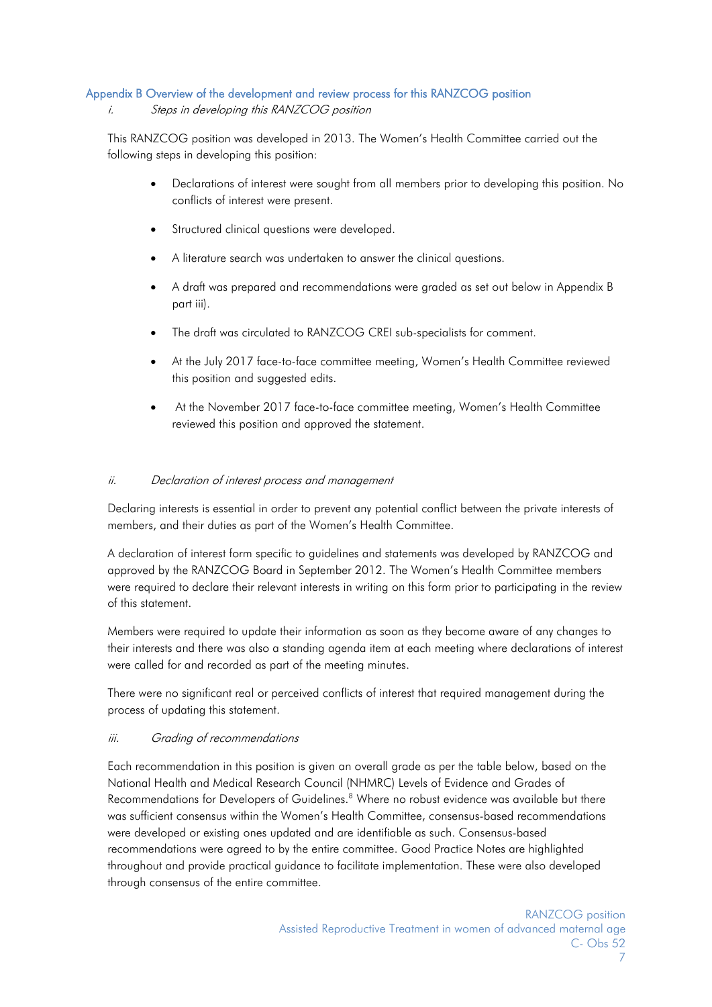#### <span id="page-6-0"></span>Appendix B Overview of the development and review process for this RANZCOG position

#### i. Steps in developing this RANZCOG position

This RANZCOG position was developed in 2013. The Women's Health Committee carried out the following steps in developing this position:

- Declarations of interest were sought from all members prior to developing this position. No conflicts of interest were present.
- Structured clinical questions were developed.
- A literature search was undertaken to answer the clinical questions.
- A draft was prepared and recommendations were graded as set out below in Appendix B part iii).
- The draft was circulated to RANZCOG CREI sub-specialists for comment.
- At the July 2017 face-to-face committee meeting, Women's Health Committee reviewed this position and suggested edits.
- At the November 2017 face-to-face committee meeting, Women's Health Committee reviewed this position and approved the statement.

#### ii. Declaration of interest process and management

Declaring interests is essential in order to prevent any potential conflict between the private interests of members, and their duties as part of the Women's Health Committee.

A declaration of interest form specific to guidelines and statements was developed by RANZCOG and approved by the RANZCOG Board in September 2012. The Women's Health Committee members were required to declare their relevant interests in writing on this form prior to participating in the review of this statement.

Members were required to update their information as soon as they become aware of any changes to their interests and there was also a standing agenda item at each meeting where declarations of interest were called for and recorded as part of the meeting minutes.

There were no significant real or perceived conflicts of interest that required management during the process of updating this statement.

#### iii. Grading of recommendations

Each recommendation in this position is given an overall grade as per the table below, based on the National Health and Medical Research Council (NHMRC) Levels of Evidence and Grades of Recommendations for Developers of Guidelines.<sup>8</sup> Where no robust evidence was available but there was sufficient consensus within the Women's Health Committee, consensus-based recommendations were developed or existing ones updated and are identifiable as such. Consensus-based recommendations were agreed to by the entire committee. Good Practice Notes are highlighted throughout and provide practical guidance to facilitate implementation. These were also developed through consensus of the entire committee.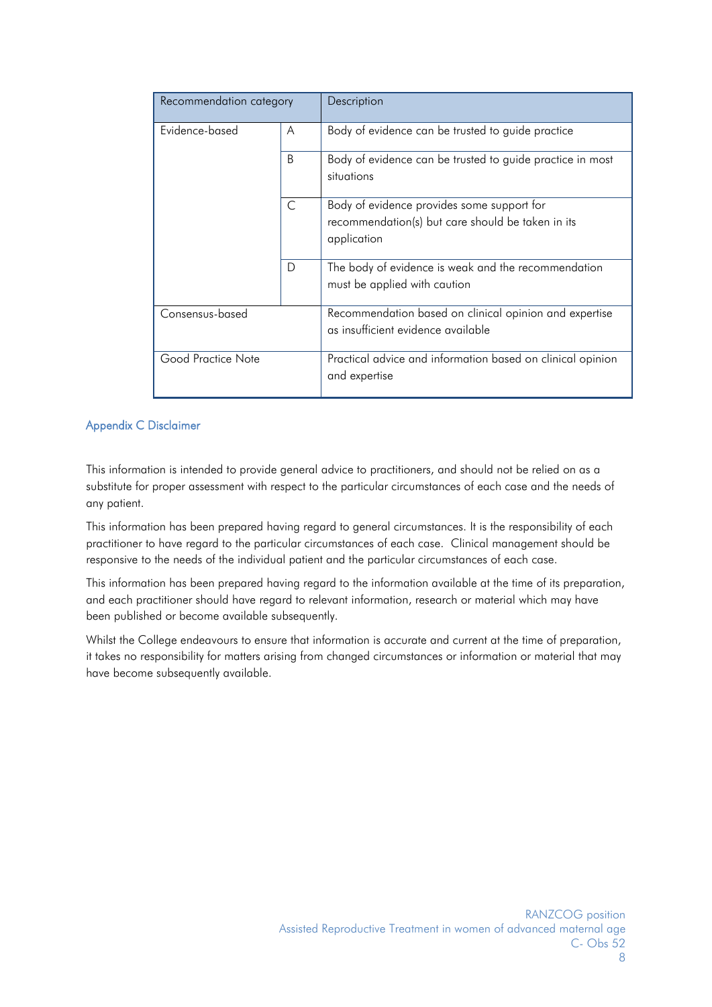| Recommendation category |   | Description                                                                                                    |
|-------------------------|---|----------------------------------------------------------------------------------------------------------------|
| Evidence-based          | A | Body of evidence can be trusted to guide practice                                                              |
|                         | B | Body of evidence can be trusted to guide practice in most<br>situations                                        |
|                         | C | Body of evidence provides some support for<br>recommendation(s) but care should be taken in its<br>application |
|                         | D | The body of evidence is weak and the recommendation<br>must be applied with caution                            |
| Consensus-based         |   | Recommendation based on clinical opinion and expertise<br>as insufficient evidence available                   |
| Good Practice Note      |   | Practical advice and information based on clinical opinion<br>and expertise                                    |

#### <span id="page-7-0"></span>Appendix C Disclaimer

This information is intended to provide general advice to practitioners, and should not be relied on as a substitute for proper assessment with respect to the particular circumstances of each case and the needs of any patient.

This information has been prepared having regard to general circumstances. It is the responsibility of each practitioner to have regard to the particular circumstances of each case. Clinical management should be responsive to the needs of the individual patient and the particular circumstances of each case.

This information has been prepared having regard to the information available at the time of its preparation, and each practitioner should have regard to relevant information, research or material which may have been published or become available subsequently.

Whilst the College endeavours to ensure that information is accurate and current at the time of preparation, it takes no responsibility for matters arising from changed circumstances or information or material that may have become subsequently available.